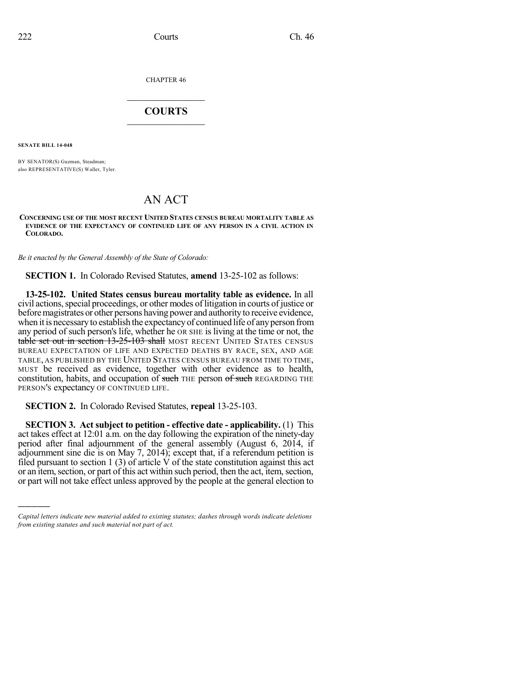CHAPTER 46

## $\overline{\phantom{a}}$  . The set of the set of the set of the set of the set of the set of the set of the set of the set of the set of the set of the set of the set of the set of the set of the set of the set of the set of the set o **COURTS**  $\_$   $\_$   $\_$   $\_$   $\_$   $\_$   $\_$   $\_$

**SENATE BILL 14-048**

)))))

BY SENATOR(S) Guzman, Steadman; also REPRESENTATIVE(S) Waller, Tyler.

## AN ACT

## **CONCERNING USE OF THE MOST RECENT UNITED STATES CENSUS BUREAU MORTALITY TABLE AS EVIDENCE OF THE EXPECTANCY OF CONTINUED LIFE OF ANY PERSON IN A CIVIL ACTION IN COLORADO.**

*Be it enacted by the General Assembly of the State of Colorado:*

**SECTION 1.** In Colorado Revised Statutes, **amend** 13-25-102 as follows:

**13-25-102. United States census bureau mortality table as evidence.** In all civil actions, special proceedings, or other modes of litigation in courts of justice or before magistrates or other persons having power and authority to receive evidence, when it is necessary to establish the expectancy of continued life of any person from any period of such person's life, whether he OR SHE is living at the time or not, the table set out in section 13-25-103 shall MOST RECENT UNITED STATES CENSUS BUREAU EXPECTATION OF LIFE AND EXPECTED DEATHS BY RACE, SEX, AND AGE TABLE, AS PUBLISHED BY THE UNITED STATES CENSUS BUREAU FROM TIME TO TIME, MUST be received as evidence, together with other evidence as to health, constitution, habits, and occupation of such THE person of such REGARDING THE PERSON'S expectancy OF CONTINUED LIFE.

**SECTION 2.** In Colorado Revised Statutes, **repeal** 13-25-103.

**SECTION 3. Act subject to petition - effective date - applicability.** (1) This act takes effect at 12:01 a.m. on the day following the expiration of the ninety-day period after final adjournment of the general assembly (August 6, 2014, if adjournment sine die is on May 7, 2014); except that, if a referendum petition is filed pursuant to section 1 (3) of article V of the state constitution against this act or an item, section, or part of this act within such period, then the act, item, section, or part will not take effect unless approved by the people at the general election to

*Capital letters indicate new material added to existing statutes; dashes through words indicate deletions from existing statutes and such material not part of act.*